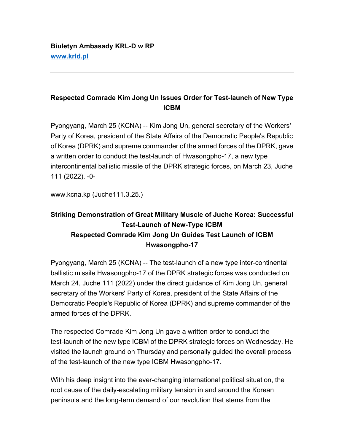## **Respected Comrade Kim Jong Un Issues Order for Test-launch of New Type ICBM**

Pyongyang, March 25 (KCNA) -- Kim Jong Un, general secretary of the Workers' Party of Korea, president of the State Affairs of the Democratic People's Republic of Korea (DPRK) and supreme commander of the armed forces of the DPRK, gave a written order to conduct the test-launch of Hwasongpho-17, a new type intercontinental ballistic missile of the DPRK strategic forces, on March 23, Juche 111 (2022). -0-

www.kcna.kp (Juche111.3.25.)

## **Striking Demonstration of Great Military Muscle of Juche Korea: Successful Test-Launch of New-Type ICBM Respected Comrade Kim Jong Un Guides Test Launch of ICBM Hwasongpho-17**

Pyongyang, March 25 (KCNA) -- The test-launch of a new type inter-continental ballistic missile Hwasongpho-17 of the DPRK strategic forces was conducted on March 24, Juche 111 (2022) under the direct guidance of Kim Jong Un, general secretary of the Workers' Party of Korea, president of the State Affairs of the Democratic People's Republic of Korea (DPRK) and supreme commander of the armed forces of the DPRK.

The respected Comrade Kim Jong Un gave a written order to conduct the test-launch of the new type ICBM of the DPRK strategic forces on Wednesday. He visited the launch ground on Thursday and personally guided the overall process of the test-launch of the new type ICBM Hwasongpho-17.

With his deep insight into the ever-changing international political situation, the root cause of the daily-escalating military tension in and around the Korean peninsula and the long-term demand of our revolution that stems from the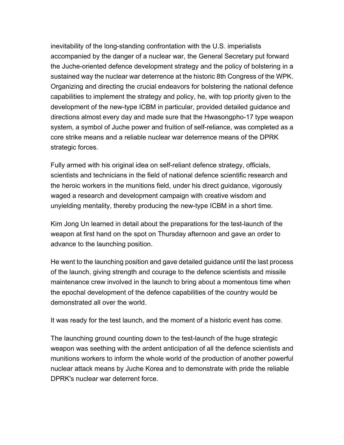inevitability of the long-standing confrontation with the U.S. imperialists accompanied by the danger of a nuclear war, the General Secretary put forward the Juche-oriented defence development strategy and the policy of bolstering in a sustained way the nuclear war deterrence at the historic 8th Congress of the WPK. Organizing and directing the crucial endeavors for bolstering the national defence capabilities to implement the strategy and policy, he, with top priority given to the development of the new-type ICBM in particular, provided detailed guidance and directions almost every day and made sure that the Hwasongpho-17 type weapon system, a symbol of Juche power and fruition of self-reliance, was completed as a core strike means and a reliable nuclear war deterrence means of the DPRK strategic forces.

Fully armed with his original idea on self-reliant defence strategy, officials, scientists and technicians in the field of national defence scientific research and the heroic workers in the munitions field, under his direct guidance, vigorously waged a research and development campaign with creative wisdom and unyielding mentality, thereby producing the new-type ICBM in a short time.

Kim Jong Un learned in detail about the preparations for the test-launch of the weapon at first hand on the spot on Thursday afternoon and gave an order to advance to the launching position.

He went to the launching position and gave detailed guidance until the last process of the launch, giving strength and courage to the defence scientists and missile maintenance crew involved in the launch to bring about a momentous time when the epochal development of the defence capabilities of the country would be demonstrated all over the world.

It was ready for the test launch, and the moment of a historic event has come.

The launching ground counting down to the test-launch of the huge strategic weapon was seething with the ardent anticipation of all the defence scientists and munitions workers to inform the whole world of the production of another powerful nuclear attack means by Juche Korea and to demonstrate with pride the reliable DPRK's nuclear war deterrent force.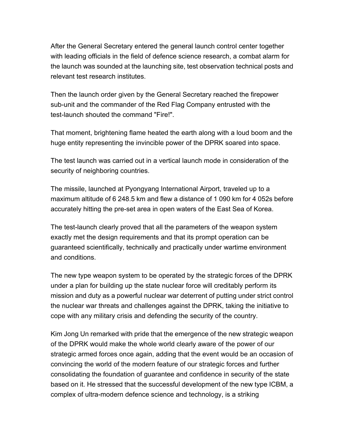After the General Secretary entered the general launch control center together with leading officials in the field of defence science research, a combat alarm for the launch was sounded at the launching site, test observation technical posts and relevant test research institutes.

Then the launch order given by the General Secretary reached the firepower sub-unit and the commander of the Red Flag Company entrusted with the test-launch shouted the command "Fire!".

That moment, brightening flame heated the earth along with a loud boom and the huge entity representing the invincible power of the DPRK soared into space.

The test launch was carried out in a vertical launch mode in consideration of the security of neighboring countries.

The missile, launched at Pyongyang International Airport, traveled up to a maximum altitude of 6 248.5 km and flew a distance of 1 090 km for 4 052s before accurately hitting the pre-set area in open waters of the East Sea of Korea.

The test-launch clearly proved that all the parameters of the weapon system exactly met the design requirements and that its prompt operation can be guaranteed scientifically, technically and practically under wartime environment and conditions.

The new type weapon system to be operated by the strategic forces of the DPRK under a plan for building up the state nuclear force will creditably perform its mission and duty as a powerful nuclear war deterrent of putting under strict control the nuclear war threats and challenges against the DPRK, taking the initiative to cope with any military crisis and defending the security of the country.

Kim Jong Un remarked with pride that the emergence of the new strategic weapon of the DPRK would make the whole world clearly aware of the power of our strategic armed forces once again, adding that the event would be an occasion of convincing the world of the modern feature of our strategic forces and further consolidating the foundation of guarantee and confidence in security of the state based on it. He stressed that the successful development of the new type ICBM, a complex of ultra-modern defence science and technology, is a striking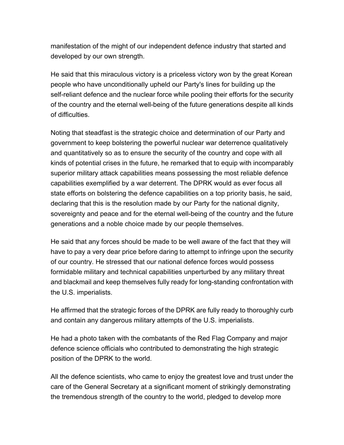manifestation of the might of our independent defence industry that started and developed by our own strength.

He said that this miraculous victory is a priceless victory won by the great Korean people who have unconditionally upheld our Party's lines for building up the self-reliant defence and the nuclear force while pooling their efforts for the security of the country and the eternal well-being of the future generations despite all kinds of difficulties.

Noting that steadfast is the strategic choice and determination of our Party and government to keep bolstering the powerful nuclear war deterrence qualitatively and quantitatively so as to ensure the security of the country and cope with all kinds of potential crises in the future, he remarked that to equip with incomparably superior military attack capabilities means possessing the most reliable defence capabilities exemplified by a war deterrent. The DPRK would as ever focus all state efforts on bolstering the defence capabilities on a top priority basis, he said, declaring that this is the resolution made by our Party for the national dignity, sovereignty and peace and for the eternal well-being of the country and the future generations and a noble choice made by our people themselves.

He said that any forces should be made to be well aware of the fact that they will have to pay a very dear price before daring to attempt to infringe upon the security of our country. He stressed that our national defence forces would possess formidable military and technical capabilities unperturbed by any military threat and blackmail and keep themselves fully ready for long-standing confrontation with the U.S. imperialists.

He affirmed that the strategic forces of the DPRK are fully ready to thoroughly curb and contain any dangerous military attempts of the U.S. imperialists.

He had a photo taken with the combatants of the Red Flag Company and major defence science officials who contributed to demonstrating the high strategic position of the DPRK to the world.

All the defence scientists, who came to enjoy the greatest love and trust under the care of the General Secretary at a significant moment of strikingly demonstrating the tremendous strength of the country to the world, pledged to develop more